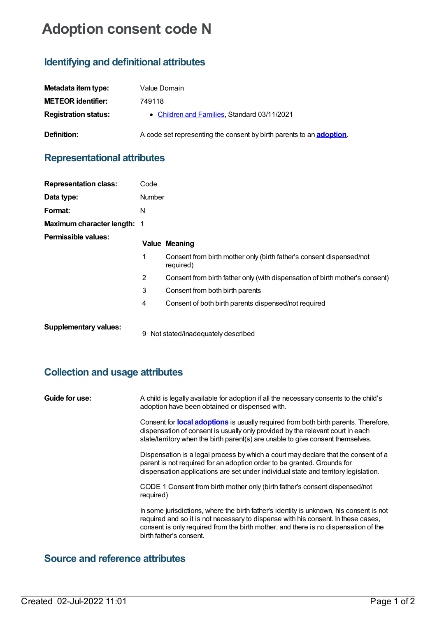# **Adoption consent code N**

## **Identifying and definitional attributes**

| Metadata item type:         | Value Domain                                                                 |
|-----------------------------|------------------------------------------------------------------------------|
| <b>METEOR identifier:</b>   | 749118                                                                       |
| <b>Registration status:</b> | • Children and Families, Standard 03/11/2021                                 |
| <b>Definition:</b>          | A code set representing the consent by birth parents to an <b>adoption</b> . |

### **Representational attributes**

| <b>Representation class:</b>       | Code          |                                                                                   |
|------------------------------------|---------------|-----------------------------------------------------------------------------------|
| Data type:                         | <b>Number</b> |                                                                                   |
| Format:                            | N             |                                                                                   |
| <b>Maximum character length: 1</b> |               |                                                                                   |
| Permissible values:                |               | <b>Value Meaning</b>                                                              |
|                                    | 1             | Consent from birth mother only (birth father's consent dispensed/not<br>required) |
|                                    | 2             | Consent from birth father only (with dispensation of birth mother's consent)      |
|                                    | 3             | Consent from both birth parents                                                   |
|                                    | 4             | Consent of both birth parents dispensed/not required                              |
| <b>Supplementary values:</b>       | 9             | Not stated/inadequately described                                                 |

#### **Collection and usage attributes**

| Guide for use: | A child is legally available for adoption if all the necessary consents to the child's<br>adoption have been obtained or dispensed with.                                                                                                                                                       |
|----------------|------------------------------------------------------------------------------------------------------------------------------------------------------------------------------------------------------------------------------------------------------------------------------------------------|
|                | Consent for <b>local adoptions</b> is usually required from both birth parents. Therefore,<br>dispensation of consent is usually only provided by the relevant court in each<br>state/territory when the birth parent(s) are unable to give consent themselves.                                |
|                | Dispensation is a legal process by which a court may declare that the consent of a<br>parent is not required for an adoption order to be granted. Grounds for<br>dispensation applications are set under individual state and territory legislation.                                           |
|                | CODE 1 Consent from birth mother only (birth father's consent dispensed/not<br>required)                                                                                                                                                                                                       |
|                | In some jurisdictions, where the birth father's identity is unknown, his consent is not<br>required and so it is not necessary to dispense with his consent. In these cases,<br>consent is only required from the birth mother, and there is no dispensation of the<br>birth father's consent. |

#### **Source and reference attributes**